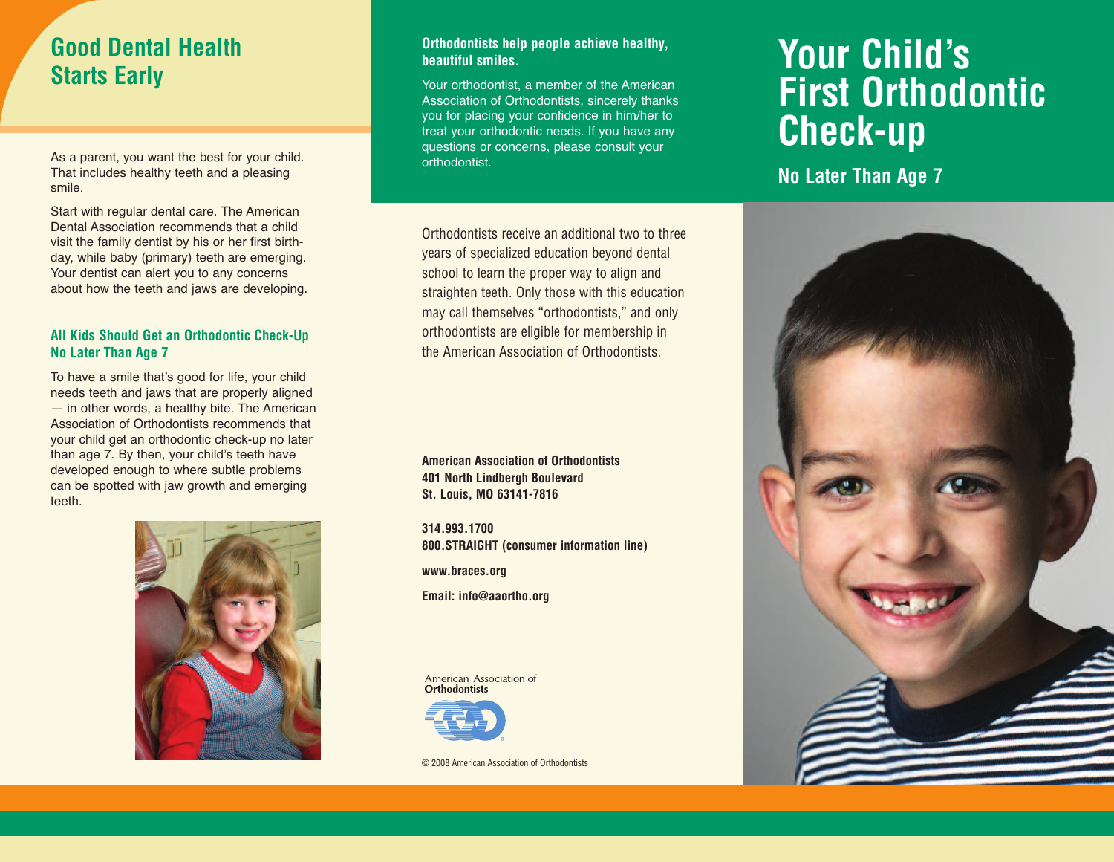# **Good Dental Health Starts Early**

As a parent, you want the best for your child. That includes healthy teeth and a pleasing smile.

Start with regular dental care. The American Dental Association recommends that a child visit the family dentist by his or her first birthday, while baby (primary) teeth are emerging. Your dentist can alert you to any concerns about how the teeth and jaws are developing.

#### **All Kids Should Get an Orthodontic Check-Up No Later Than Age 7**

To have a smile that's good for life, your child needs teeth and jaws that are properly aligned — in other words, a healthy bite. The American Association of Orthodontists recommends that your child get an orthodontic check-up no later than age 7. By then, your child's teeth have developed enough to where subtle problems can be spotted with jaw growth and emerging teeth.



#### **Orthodontists help people achieve healthy, beautiful smiles.**

Your orthodontist, a member of the American Association of Orthodontists, sincerely thanks you for placing your confidence in him/her to treat your orthodontic needs. If you have any questions or concerns, please consult your orthodontist.

Orthodontists receive an additional two to three years of specialized education beyond dental school to learn the proper way to align and straighten teeth. Only those with this education may call themselves "orthodontists," and only orthodontists are eligible for membership in the American Association of Orthodontists.

**American Association of Orthodontists 401 North Lindbergh Boulevard St. Louis, MO 63141-7816**

**314.993.1700 800.STRAIGHT (consumer information line)**

**www.braces.org**

**Email: info@aaortho.org**

American Association of **Orthodontists** 



© 2008 American Association of Orthodontists

# **Your Child's First Orthodontic Check-up**

**No Later Than Age 7**